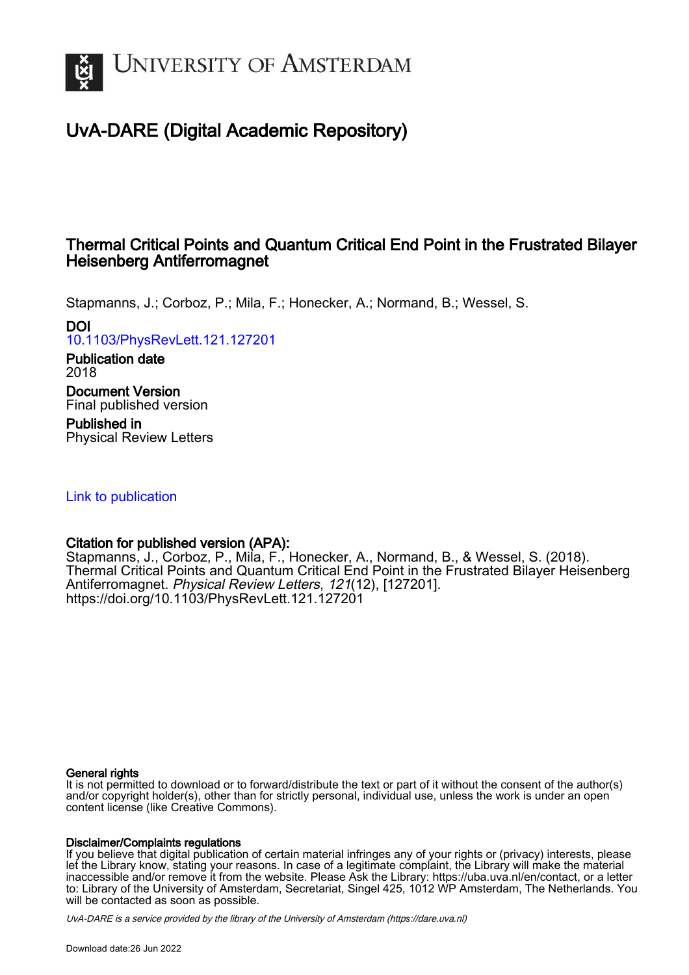

# UvA-DARE (Digital Academic Repository)

## Thermal Critical Points and Quantum Critical End Point in the Frustrated Bilayer Heisenberg Antiferromagnet

Stapmanns, J.; Corboz, P.; Mila, F.; Honecker, A.; Normand, B.; Wessel, S.

## DOI

[10.1103/PhysRevLett.121.127201](https://doi.org/10.1103/PhysRevLett.121.127201)

Publication date 2018

Document Version Final published version

Published in Physical Review Letters

[Link to publication](https://dare.uva.nl/personal/pure/en/publications/thermal-critical-points-and-quantum-critical-end-point-in-the-frustrated-bilayer-heisenberg-antiferromagnet(17029c9e-4145-42ea-9a62-410a78f426ba).html)

## Citation for published version (APA):

Stapmanns, J., Corboz, P., Mila, F., Honecker, A., Normand, B., & Wessel, S. (2018). Thermal Critical Points and Quantum Critical End Point in the Frustrated Bilayer Heisenberg Antiferromagnet. Physical Review Letters, 121(12), [127201]. <https://doi.org/10.1103/PhysRevLett.121.127201>

#### General rights

It is not permitted to download or to forward/distribute the text or part of it without the consent of the author(s) and/or copyright holder(s), other than for strictly personal, individual use, unless the work is under an open content license (like Creative Commons).

#### Disclaimer/Complaints regulations

If you believe that digital publication of certain material infringes any of your rights or (privacy) interests, please let the Library know, stating your reasons. In case of a legitimate complaint, the Library will make the material inaccessible and/or remove it from the website. Please Ask the Library: https://uba.uva.nl/en/contact, or a letter to: Library of the University of Amsterdam, Secretariat, Singel 425, 1012 WP Amsterdam, The Netherlands. You will be contacted as soon as possible.

UvA-DARE is a service provided by the library of the University of Amsterdam (http*s*://dare.uva.nl)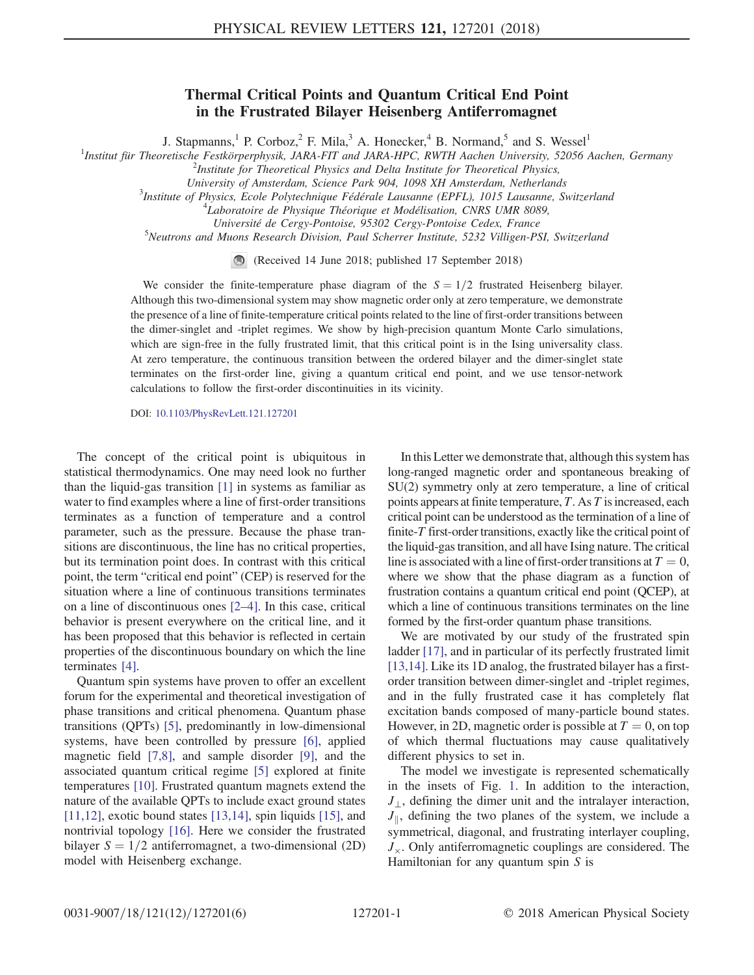### Thermal Critical Points and Quantum Critical End Point in the Frustrated Bilayer Heisenberg Antiferromagnet

J. Stapmanns,<sup>1</sup> P. Corboz,<sup>2</sup> F. Mila,<sup>3</sup> A. Honecker,<sup>4</sup> B. Normand,<sup>5</sup> and S. Wessel<sup>1</sup>

<sup>1</sup>Institut für Theoretische Festkörperphysik, JARA-FIT and JARA-HPC, RWTH Aachen University, 52056 Aachen, Germany  $\frac{2}{3}$ <sup>2</sup>Institute for Theoretical Physics and Delta Institute for Theoretical Physics,

University of Amsterdam, Science Park 904, 1098 XH Amsterdam, Netherlands <sup>3</sup>

<sup>3</sup>Institute of Physics, Ecole Polytechnique Fédérale Lausanne (EPFL), 1015 Lausanne, Switzerland

 $4$ Laboratoire de Physique Théorique et Modélisation, CNRS UMR 8089,

Université de Cergy-Pontoise, 95302 Cergy-Pontoise Cedex, France

Neutrons and Muons Research Division, Paul Scherrer Institute, 5232 Villigen-PSI, Switzerland

 $\circledR$ (Received 14 June 2018; published 17 September 2018)

We consider the finite-temperature phase diagram of the  $S = 1/2$  frustrated Heisenberg bilayer. Although this two-dimensional system may show magnetic order only at zero temperature, we demonstrate the presence of a line of finite-temperature critical points related to the line of first-order transitions between the dimer-singlet and -triplet regimes. We show by high-precision quantum Monte Carlo simulations, which are sign-free in the fully frustrated limit, that this critical point is in the Ising universality class. At zero temperature, the continuous transition between the ordered bilayer and the dimer-singlet state terminates on the first-order line, giving a quantum critical end point, and we use tensor-network calculations to follow the first-order discontinuities in its vicinity.

DOI: [10.1103/PhysRevLett.121.127201](https://doi.org/10.1103/PhysRevLett.121.127201)

The concept of the critical point is ubiquitous in statistical thermodynamics. One may need look no further than the liquid-gas transition [\[1\]](#page-5-0) in systems as familiar as water to find examples where a line of first-order transitions terminates as a function of temperature and a control parameter, such as the pressure. Because the phase transitions are discontinuous, the line has no critical properties, but its termination point does. In contrast with this critical point, the term "critical end point" (CEP) is reserved for the situation where a line of continuous transitions terminates on a line of discontinuous ones [\[2](#page-5-1)–4]. In this case, critical behavior is present everywhere on the critical line, and it has been proposed that this behavior is reflected in certain properties of the discontinuous boundary on which the line terminates [\[4\].](#page-5-2)

Quantum spin systems have proven to offer an excellent forum for the experimental and theoretical investigation of phase transitions and critical phenomena. Quantum phase transitions (QPTs) [\[5\]](#page-5-3), predominantly in low-dimensional systems, have been controlled by pressure [\[6\]](#page-5-4), applied magnetic field [\[7,8\],](#page-5-5) and sample disorder [\[9\]](#page-5-6), and the associated quantum critical regime [\[5\]](#page-5-3) explored at finite temperatures [\[10\].](#page-5-7) Frustrated quantum magnets extend the nature of the available QPTs to include exact ground states  $[11,12]$ , exotic bound states  $[13,14]$ , spin liquids  $[15]$ , and nontrivial topology [\[16\].](#page-5-11) Here we consider the frustrated bilayer  $S = 1/2$  antiferromagnet, a two-dimensional (2D) model with Heisenberg exchange.

In this Letter we demonstrate that, although this system has long-ranged magnetic order and spontaneous breaking of SU(2) symmetry only at zero temperature, a line of critical points appears at finite temperature, T. As T is increased, each critical point can be understood as the termination of a line of finite-T first-order transitions, exactly like the critical point of the liquid-gas transition, and all have Ising nature. The critical line is associated with a line of first-order transitions at  $T = 0$ , where we show that the phase diagram as a function of frustration contains a quantum critical end point (QCEP), at which a line of continuous transitions terminates on the line formed by the first-order quantum phase transitions.

We are motivated by our study of the frustrated spin ladder [\[17\],](#page-5-12) and in particular of its perfectly frustrated limit [\[13,14\]](#page-5-9). Like its 1D analog, the frustrated bilayer has a firstorder transition between dimer-singlet and -triplet regimes, and in the fully frustrated case it has completely flat excitation bands composed of many-particle bound states. However, in 2D, magnetic order is possible at  $T = 0$ , on top of which thermal fluctuations may cause qualitatively different physics to set in.

<span id="page-1-0"></span>The model we investigate is represented schematically in the insets of Fig. [1](#page-2-0). In addition to the interaction,  $J_{\perp}$ , defining the dimer unit and the intralayer interaction,  $J_{\parallel}$ , defining the two planes of the system, we include a symmetrical, diagonal, and frustrating interlayer coupling,  $J_{\gamma}$ . Only antiferromagnetic couplings are considered. The Hamiltonian for any quantum spin  $S$  is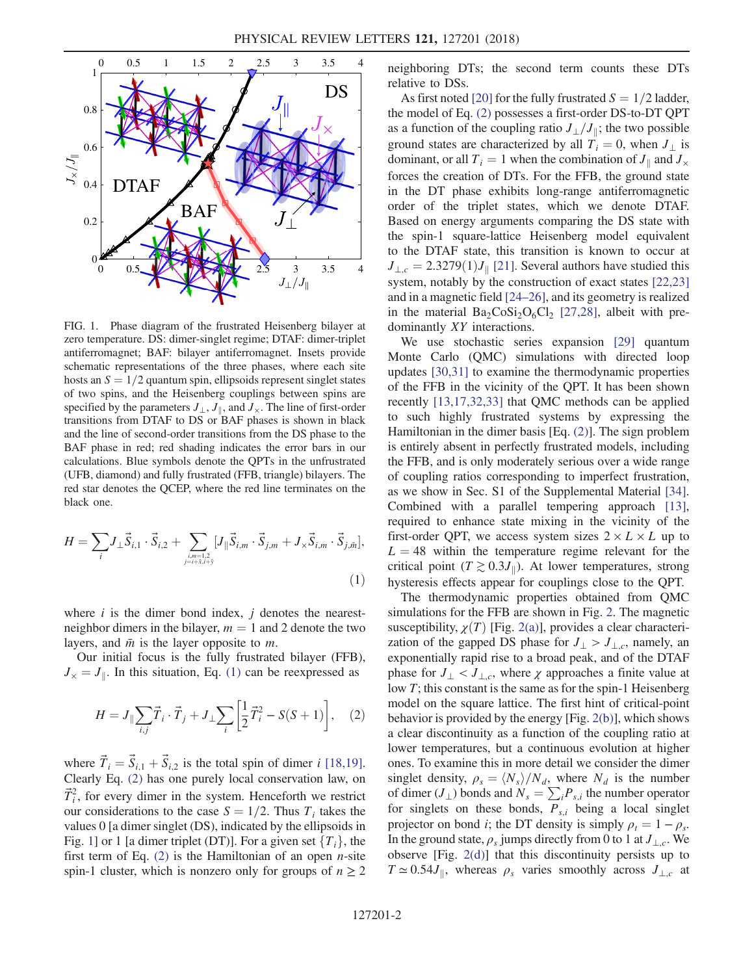<span id="page-2-0"></span>

FIG. 1. Phase diagram of the frustrated Heisenberg bilayer at zero temperature. DS: dimer-singlet regime; DTAF: dimer-triplet antiferromagnet; BAF: bilayer antiferromagnet. Insets provide schematic representations of the three phases, where each site hosts an  $S = 1/2$  quantum spin, ellipsoids represent singlet states of two spins, and the Heisenberg couplings between spins are specified by the parameters  $J_{\perp}$ ,  $J_{\parallel}$ , and  $J_{\times}$ . The line of first-order transitions from DTAF to DS or BAF phases is shown in black and the line of second-order transitions from the DS phase to the BAF phase in red; red shading indicates the error bars in our calculations. Blue symbols denote the QPTs in the unfrustrated (UFB, diamond) and fully frustrated (FFB, triangle) bilayers. The red star denotes the QCEP, where the red line terminates on the black one.

$$
H = \sum_{i} J_{\perp} \vec{S}_{i,1} \cdot \vec{S}_{i,2} + \sum_{\substack{i,m=1,2 \\ j=i+\hat{x}, i+\hat{y}}} [J_{\parallel} \vec{S}_{i,m} \cdot \vec{S}_{j,m} + J_{\times} \vec{S}_{i,m} \cdot \vec{S}_{j,\bar{m}}],
$$
\n(1)

where  $i$  is the dimer bond index,  $j$  denotes the nearestneighbor dimers in the bilayer,  $m = 1$  and 2 denote the two layers, and  $\bar{m}$  is the layer opposite to m.

<span id="page-2-1"></span>Our initial focus is the fully frustrated bilayer (FFB),  $J_{\times} = J_{\parallel}$ . In this situation, Eq. [\(1\)](#page-1-0) can be reexpressed as

$$
H = J_{\parallel} \sum_{i,j} \vec{T}_i \cdot \vec{T}_j + J_{\perp} \sum_i \left[ \frac{1}{2} \vec{T}_i^2 - S(S+1) \right], \quad (2)
$$

where  $\vec{T}_i = \vec{S}_{i,1} + \vec{S}_{i,2}$  is the total spin of dimer i [\[18,19\]](#page-5-13). Clearly Eq. [\(2\)](#page-2-1) has one purely local conservation law, on  $\vec{T}_i^2$ , for every dimer in the system. Henceforth we restrict our considerations to the case  $S = 1/2$ . Thus  $T_i$  takes the values 0 [a dimer singlet (DS), indicated by the ellipsoids in Fig. [1](#page-2-0)] or 1 [a dimer triplet (DT)]. For a given set  $\{T_i\}$ , the first term of Eq.  $(2)$  is the Hamiltonian of an open *n*-site spin-1 cluster, which is nonzero only for groups of  $n \geq 2$  neighboring DTs; the second term counts these DTs relative to DSs.

As first noted [\[20\]](#page-5-14) for the fully frustrated  $S = 1/2$  ladder, the model of Eq. [\(2\)](#page-2-1) possesses a first-order DS-to-DT QPT as a function of the coupling ratio  $J_{\perp}/J_{\parallel}$ ; the two possible ground states are characterized by all  $T_i = 0$ , when  $J_{\perp}$  is dominant, or all  $T_i = 1$  when the combination of  $J_{\parallel}$  and  $J_{\times}$ forces the creation of DTs. For the FFB, the ground state in the DT phase exhibits long-range antiferromagnetic order of the triplet states, which we denote DTAF. Based on energy arguments comparing the DS state with the spin-1 square-lattice Heisenberg model equivalent to the DTAF state, this transition is known to occur at  $J_{\perp,c} = 2.3279(1)J_{\parallel}$  [\[21\].](#page-5-15) Several authors have studied this system, notably by the construction of exact states [\[22,23\]](#page-5-16) and in a magnetic field [\[24](#page-5-17)–26], and its geometry is realized in the material  $Ba_2CoSi_2O_6Cl_2$  [\[27,28\]](#page-5-18), albeit with predominantly XY interactions.

We use stochastic series expansion [\[29\]](#page-5-19) quantum Monte Carlo (QMC) simulations with directed loop updates [\[30,31\]](#page-5-20) to examine the thermodynamic properties of the FFB in the vicinity of the QPT. It has been shown recently [\[13,17,32,33\]](#page-5-9) that QMC methods can be applied to such highly frustrated systems by expressing the Hamiltonian in the dimer basis [Eq. [\(2\)\]](#page-2-1). The sign problem is entirely absent in perfectly frustrated models, including the FFB, and is only moderately serious over a wide range of coupling ratios corresponding to imperfect frustration, as we show in Sec. S1 of the Supplemental Material [\[34\]](#page-5-21). Combined with a parallel tempering approach [\[13\]](#page-5-9), required to enhance state mixing in the vicinity of the first-order OPT, we access system sizes  $2 \times L \times L$  up to  $L = 48$  within the temperature regime relevant for the critical point ( $T \gtrsim 0.3 J_{\parallel}$ ). At lower temperatures, strong hysteresis effects appear for couplings close to the QPT.

The thermodynamic properties obtained from QMC simulations for the FFB are shown in Fig. [2.](#page-3-0) The magnetic susceptibility,  $\chi(T)$  [Fig. [2\(a\)\]](#page-3-0), provides a clear characterization of the gapped DS phase for  $J_{\perp} > J_{\perp,c}$ , namely, an exponentially rapid rise to a broad peak, and of the DTAF phase for  $J_{\perp} < J_{\perp,c}$ , where  $\chi$  approaches a finite value at low T; this constant is the same as for the spin-1 Heisenberg model on the square lattice. The first hint of critical-point behavior is provided by the energy [Fig. [2\(b\)](#page-3-0)], which shows a clear discontinuity as a function of the coupling ratio at lower temperatures, but a continuous evolution at higher ones. To examine this in more detail we consider the dimer singlet density,  $\rho_s = \langle N_s \rangle / N_d$ , where  $N_d$  is the number of dimer ( $J_{\perp}$ ) bonds and  $N_s = \sum_i P_{s,i}$  the number operator for singlets on these bonds,  $P_{s,i}$  being a local singlet projector on bond *i*; the DT density is simply  $\rho_t = 1 - \rho_s$ . In the ground state,  $\rho_s$  jumps directly from 0 to 1 at  $J_{\perp,c}$ . We observe [Fig. [2\(d\)\]](#page-3-0) that this discontinuity persists up to  $T \approx 0.54J_{\parallel}$ , whereas  $\rho_s$  varies smoothly across  $J_{\perp,c}$  at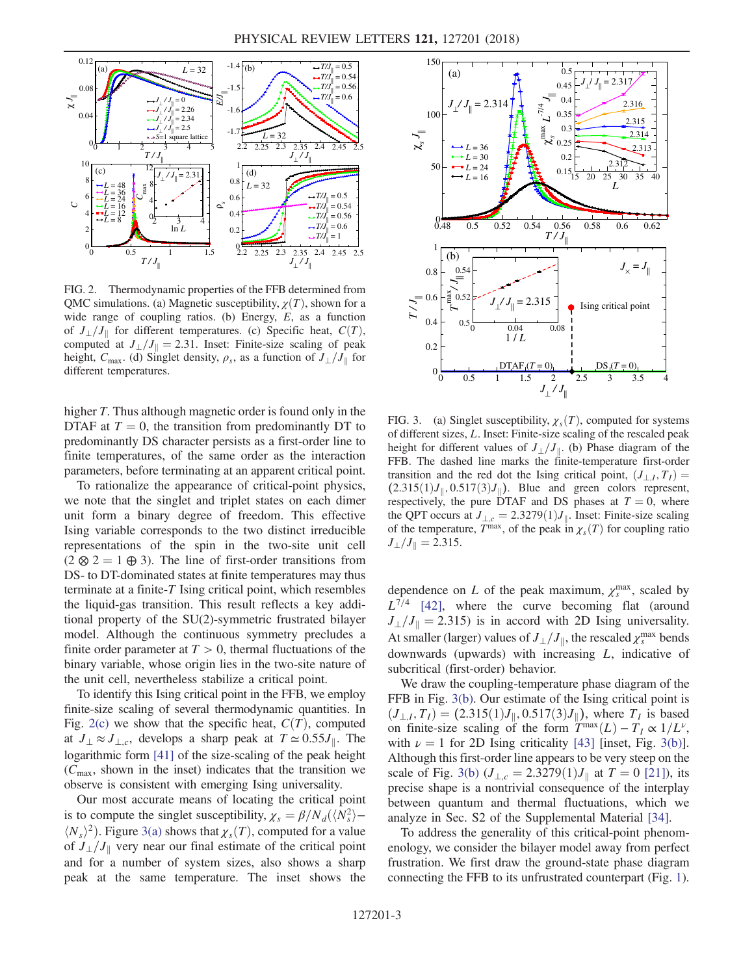<span id="page-3-0"></span>

FIG. 2. Thermodynamic properties of the FFB determined from QMC simulations. (a) Magnetic susceptibility,  $\chi(T)$ , shown for a wide range of coupling ratios. (b) Energy, E, as a function of  $J_{\perp}/J_{\parallel}$  for different temperatures. (c) Specific heat,  $C(T)$ , computed at  $J_{\perp}/J_{\parallel} = 2.31$ . Inset: Finite-size scaling of peak height,  $C_{\text{max}}$ . (d) Singlet density,  $\rho_s$ , as a function of  $J_{\perp}/J_{\parallel}$  for different temperatures.

higher T. Thus although magnetic order is found only in the DTAF at  $T = 0$ , the transition from predominantly DT to predominantly DS character persists as a first-order line to finite temperatures, of the same order as the interaction parameters, before terminating at an apparent critical point.

To rationalize the appearance of critical-point physics, we note that the singlet and triplet states on each dimer unit form a binary degree of freedom. This effective Ising variable corresponds to the two distinct irreducible representations of the spin in the two-site unit cell  $(2 \otimes 2 = 1 \oplus 3)$ . The line of first-order transitions from DS- to DT-dominated states at finite temperatures may thus terminate at a finite- $T$  Ising critical point, which resembles the liquid-gas transition. This result reflects a key additional property of the SU(2)-symmetric frustrated bilayer model. Although the continuous symmetry precludes a finite order parameter at  $T > 0$ , thermal fluctuations of the binary variable, whose origin lies in the two-site nature of the unit cell, nevertheless stabilize a critical point.

To identify this Ising critical point in the FFB, we employ finite-size scaling of several thermodynamic quantities. In Fig. [2\(c\)](#page-3-0) we show that the specific heat,  $C(T)$ , computed at  $J_{\perp} \approx J_{\perp,c}$ , develops a sharp peak at  $T \approx 0.55 J_{\parallel}$ . The logarithmic form [\[41\]](#page-5-22) of the size-scaling of the peak height  $(C_{\text{max}})$ , shown in the inset) indicates that the transition we observe is consistent with emerging Ising universality.

Our most accurate means of locating the critical point is to compute the singlet susceptibility,  $\chi_s = \beta/N_d(\langle N_s^2 \rangle - N_s/2)$ . Figure 3(a) shows that  $\chi(T)$  computed for a value  $\langle N_s \rangle^2$ ). Figure [3\(a\)](#page-3-1) shows that  $\chi_s(T)$ , computed for a value of  $J_{\perp}/J_{\parallel}$  very near our final estimate of the critical point and for a number of system sizes, also shows a sharp peak at the same temperature. The inset shows the

<span id="page-3-1"></span>

FIG. 3. (a) Singlet susceptibility,  $\chi_s(T)$ , computed for systems of different sizes, L. Inset: Finite-size scaling of the rescaled peak height for different values of  $J_{\perp}/J_{\parallel}$ . (b) Phase diagram of the FFB. The dashed line marks the finite-temperature first-order transition and the red dot the Ising critical point,  $(J_{\perp I}, T_I)$  =  $(2.315(1)J_{\parallel}, 0.517(3)J_{\parallel})$ . Blue and green colors represent, respectively, the pure DTAF and DS phases at  $T = 0$ , where the QPT occurs at  $J_{\perp,c} = 2.3279(1)J_{\parallel}$ . Inset: Finite-size scaling of the temperature,  $\overline{T}^{\text{max}}$ , of the peak in  $\chi_s(T)$  for coupling ratio  $J_{\perp}/J_{\parallel}=2.315.$ 

dependence on L of the peak maximum,  $\chi_s^{\text{max}}$ , scaled by  $L^{7/4}$  [\[42\],](#page-5-23) where the curve becoming flat (around  $J_{\perp}/J_{\parallel}=2.315$ ) is in accord with 2D Ising universality. At smaller (larger) values of  $J_{\perp}/J_{\parallel}$ , the rescaled  $\chi_s^{\text{max}}$  bends<br>downwards (unwards) with increasing I indicative of downwards (upwards) with increasing L, indicative of subcritical (first-order) behavior.

We draw the coupling-temperature phase diagram of the FFB in Fig. [3\(b\)](#page-3-1). Our estimate of the Ising critical point is  $(J_{\perp,I}, T_I) = (2.315(1)J_{\parallel}, 0.517(3)J_{\parallel})$ , where  $T_I$  is based on finite-size scaling of the form  $T^{\max}(L) - T_I \propto 1/L^{\nu}$ , with  $\nu = 1$  for 2D Ising criticality [\[43\]](#page-5-24) [inset, Fig. [3\(b\)](#page-3-1)]. Although this first-order line appears to be very steep on the scale of Fig. [3\(b\)](#page-3-1)  $(J_{\perp,c} = 2.3279(1)J_{\parallel}$  at  $T = 0$  [\[21\]\)](#page-5-15), its precise shape is a nontrivial consequence of the interplay between quantum and thermal fluctuations, which we analyze in Sec. S2 of the Supplemental Material [\[34\]](#page-5-21).

To address the generality of this critical-point phenomenology, we consider the bilayer model away from perfect frustration. We first draw the ground-state phase diagram connecting the FFB to its unfrustrated counterpart (Fig. [1](#page-2-0)).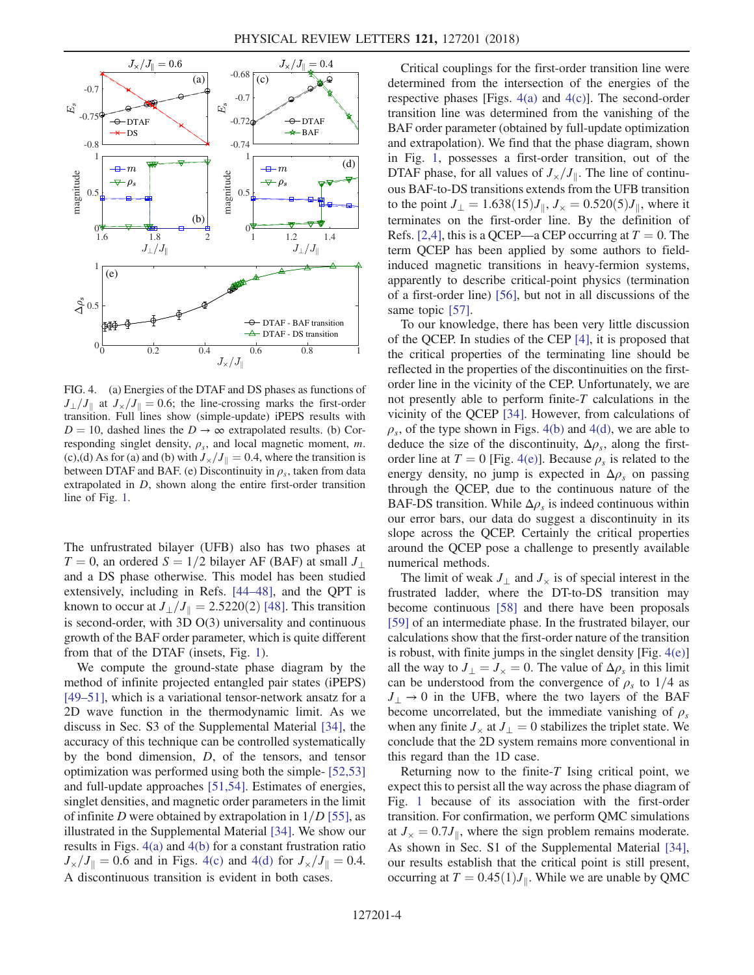<span id="page-4-0"></span>

FIG. 4. (a) Energies of the DTAF and DS phases as functions of  $J_{\perp}/J_{\parallel}$  at  $J_{\times}/J_{\parallel} = 0.6$ ; the line-crossing marks the first-order transition. Full lines show (simple-update) iPEPS results with  $D = 10$ , dashed lines the  $D \rightarrow \infty$  extrapolated results. (b) Corresponding singlet density,  $\rho_s$ , and local magnetic moment, m. (c),(d) As for (a) and (b) with  $J_{\times}/J_{\parallel}=0.4$ , where the transition is between DTAF and BAF. (e) Discontinuity in  $\rho_s$ , taken from data extrapolated in D, shown along the entire first-order transition line of Fig. [1.](#page-2-0)

The unfrustrated bilayer (UFB) also has two phases at  $T = 0$ , an ordered  $S = 1/2$  bilayer AF (BAF) at small  $J_{\perp}$ and a DS phase otherwise. This model has been studied extensively, including in Refs. [44–[48\],](#page-5-25) and the QPT is known to occur at  $J_{\perp}/J_{\parallel} = 2.5220(2)$  [\[48\].](#page-6-0) This transition is second-order, with 3D O(3) universality and continuous growth of the BAF order parameter, which is quite different from that of the DTAF (insets, Fig. [1](#page-2-0)).

We compute the ground-state phase diagram by the method of infinite projected entangled pair states (iPEPS) [\[49](#page-6-1)–51], which is a variational tensor-network ansatz for a 2D wave function in the thermodynamic limit. As we discuss in Sec. S3 of the Supplemental Material [\[34\]](#page-5-21), the accuracy of this technique can be controlled systematically by the bond dimension, D, of the tensors, and tensor optimization was performed using both the simple- [\[52,53\]](#page-6-2) and full-update approaches [\[51,54\]](#page-6-3). Estimates of energies, singlet densities, and magnetic order parameters in the limit of infinite D were obtained by extrapolation in  $1/D$  [\[55\],](#page-6-4) as illustrated in the Supplemental Material [\[34\].](#page-5-21) We show our results in Figs. [4\(a\)](#page-4-0) and [4\(b\)](#page-4-0) for a constant frustration ratio  $J_{\times}/J_{\parallel}=0.6$  and in Figs. [4\(c\)](#page-4-0) and [4\(d\)](#page-4-0) for  $J_{\times}/J_{\parallel}=0.4$ . A discontinuous transition is evident in both cases.

Critical couplings for the first-order transition line were determined from the intersection of the energies of the respective phases [Figs.  $4(a)$  and  $4(c)$ ]. The second-order transition line was determined from the vanishing of the BAF order parameter (obtained by full-update optimization and extrapolation). We find that the phase diagram, shown in Fig. [1](#page-2-0), possesses a first-order transition, out of the DTAF phase, for all values of  $J_{\times}/J_{\parallel}$ . The line of continuous BAF-to-DS transitions extends from the UFB transition to the point  $J_{\perp} = 1.638(15)J_{\parallel}$ ,  $J_{\times} = 0.520(5)J_{\parallel}$ , where it terminates on the first-order line. By the definition of Refs. [\[2,4\],](#page-5-1) this is a QCEP—a CEP occurring at  $T = 0$ . The term QCEP has been applied by some authors to fieldinduced magnetic transitions in heavy-fermion systems, apparently to describe critical-point physics (termination of a first-order line) [\[56\],](#page-6-5) but not in all discussions of the same topic [\[57\].](#page-6-6)

To our knowledge, there has been very little discussion of the QCEP. In studies of the CEP [\[4\],](#page-5-2) it is proposed that the critical properties of the terminating line should be reflected in the properties of the discontinuities on the firstorder line in the vicinity of the CEP. Unfortunately, we are not presently able to perform finite-T calculations in the vicinity of the QCEP [\[34\].](#page-5-21) However, from calculations of  $\rho_s$ , of the type shown in Figs. [4\(b\)](#page-4-0) and [4\(d\)](#page-4-0), we are able to deduce the size of the discontinuity,  $\Delta \rho_s$ , along the firstorder line at  $T = 0$  [Fig. [4\(e\)\]](#page-4-0). Because  $\rho_s$  is related to the energy density, no jump is expected in  $\Delta \rho_s$  on passing through the QCEP, due to the continuous nature of the BAF-DS transition. While  $\Delta \rho_s$  is indeed continuous within our error bars, our data do suggest a discontinuity in its slope across the QCEP. Certainly the critical properties around the QCEP pose a challenge to presently available numerical methods.

The limit of weak  $J_{\perp}$  and  $J_{\times}$  is of special interest in the frustrated ladder, where the DT-to-DS transition may become continuous [\[58\]](#page-6-7) and there have been proposals [\[59\]](#page-6-8) of an intermediate phase. In the frustrated bilayer, our calculations show that the first-order nature of the transition is robust, with finite jumps in the singlet density  $[Fig. 4(e)]$  $[Fig. 4(e)]$ all the way to  $J_{\perp} = J_{\times} = 0$ . The value of  $\Delta \rho_s$  in this limit can be understood from the convergence of  $\rho_s$  to 1/4 as  $J_{\perp} \rightarrow 0$  in the UFB, where the two layers of the BAF become uncorrelated, but the immediate vanishing of  $\rho_s$ when any finite  $J_{\times}$  at  $J_{\perp} = 0$  stabilizes the triplet state. We conclude that the 2D system remains more conventional in this regard than the 1D case.

Returning now to the finite- $T$  Ising critical point, we expect this to persist all the way across the phase diagram of Fig. [1](#page-2-0) because of its association with the first-order transition. For confirmation, we perform QMC simulations at  $J_{\times} = 0.7J_{\parallel}$ , where the sign problem remains moderate. As shown in Sec. S1 of the Supplemental Material [\[34\]](#page-5-21), our results establish that the critical point is still present, occurring at  $T = 0.45(1)J_{\parallel}$ . While we are unable by QMC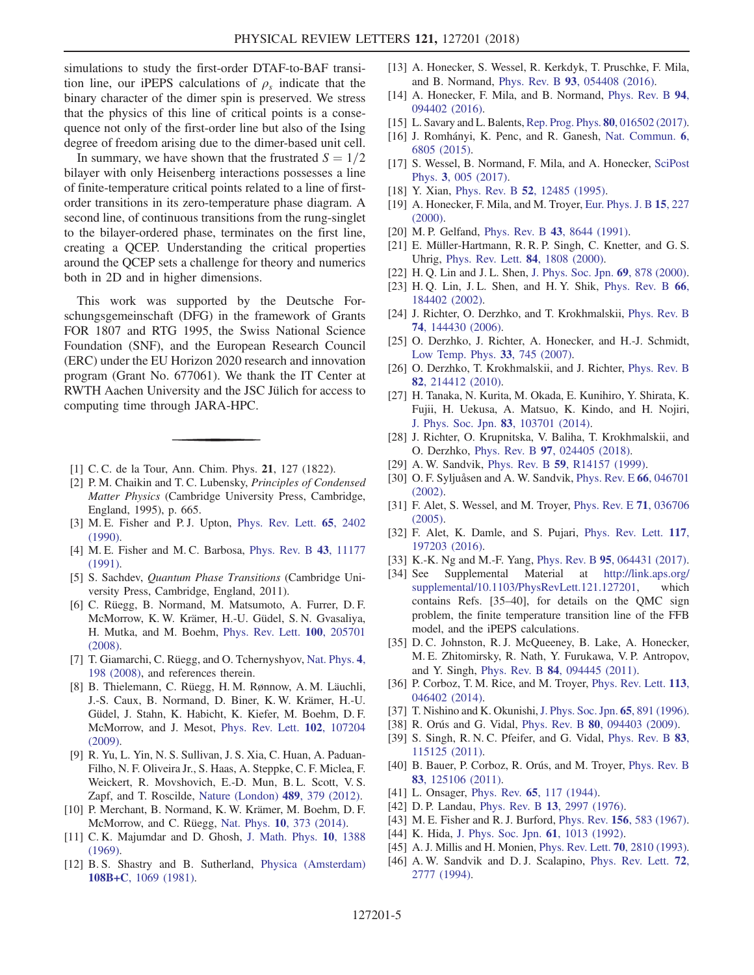simulations to study the first-order DTAF-to-BAF transition line, our iPEPS calculations of  $\rho_s$  indicate that the binary character of the dimer spin is preserved. We stress that the physics of this line of critical points is a consequence not only of the first-order line but also of the Ising degree of freedom arising due to the dimer-based unit cell.

In summary, we have shown that the frustrated  $S = 1/2$ bilayer with only Heisenberg interactions possesses a line of finite-temperature critical points related to a line of firstorder transitions in its zero-temperature phase diagram. A second line, of continuous transitions from the rung-singlet to the bilayer-ordered phase, terminates on the first line, creating a QCEP. Understanding the critical properties around the QCEP sets a challenge for theory and numerics both in 2D and in higher dimensions.

This work was supported by the Deutsche Forschungsgemeinschaft (DFG) in the framework of Grants FOR 1807 and RTG 1995, the Swiss National Science Foundation (SNF), and the European Research Council (ERC) under the EU Horizon 2020 research and innovation program (Grant No. 677061). We thank the IT Center at RWTH Aachen University and the JSC Jülich for access to computing time through JARA-HPC.

- <span id="page-5-1"></span><span id="page-5-0"></span>[1] C. C. de la Tour, Ann. Chim. Phys. **21**, 127 (1822).
- [2] P. M. Chaikin and T. C. Lubensky, *Principles of Condensed* Matter Physics (Cambridge University Press, Cambridge, England, 1995), p. 665.
- <span id="page-5-2"></span>[3] M. E. Fisher and P. J. Upton, [Phys. Rev. Lett.](https://doi.org/10.1103/PhysRevLett.65.2402) **65**, 2402 [\(1990\).](https://doi.org/10.1103/PhysRevLett.65.2402)
- <span id="page-5-3"></span>[4] M. E. Fisher and M. C. Barbosa, [Phys. Rev. B](https://doi.org/10.1103/PhysRevB.43.11177) 43, 11177 [\(1991\).](https://doi.org/10.1103/PhysRevB.43.11177)
- <span id="page-5-4"></span>[5] S. Sachdev, *Quantum Phase Transitions* (Cambridge University Press, Cambridge, England, 2011).
- [6] C. Rüegg, B. Normand, M. Matsumoto, A. Furrer, D. F. McMorrow, K. W. Krämer, H.-U. Güdel, S. N. Gvasaliya, H. Mutka, and M. Boehm, [Phys. Rev. Lett.](https://doi.org/10.1103/PhysRevLett.100.205701) 100, 205701 [\(2008\).](https://doi.org/10.1103/PhysRevLett.100.205701)
- <span id="page-5-5"></span>[7] T. Giamarchi, C. Rüegg, and O. Tchernyshyov, [Nat. Phys.](https://doi.org/10.1038/nphys893) 4, [198 \(2008\)](https://doi.org/10.1038/nphys893), and references therein.
- [8] B. Thielemann, C. Rüegg, H. M. Rønnow, A. M. Läuchli, J.-S. Caux, B. Normand, D. Biner, K. W. Krämer, H.-U. Güdel, J. Stahn, K. Habicht, K. Kiefer, M. Boehm, D. F. McMorrow, and J. Mesot, [Phys. Rev. Lett.](https://doi.org/10.1103/PhysRevLett.102.107204) 102, 107204 [\(2009\).](https://doi.org/10.1103/PhysRevLett.102.107204)
- <span id="page-5-7"></span><span id="page-5-6"></span>[9] R. Yu, L. Yin, N. S. Sullivan, J. S. Xia, C. Huan, A. Paduan-Filho, N. F. Oliveira Jr., S. Haas, A. Steppke, C. F. Miclea, F. Weickert, R. Movshovich, E.-D. Mun, B. L. Scott, V. S. Zapf, and T. Roscilde, [Nature \(London\)](https://doi.org/10.1038/nature11406) 489, 379 (2012).
- <span id="page-5-8"></span>[10] P. Merchant, B. Normand, K. W. Krämer, M. Boehm, D. F. McMorrow, and C. Rüegg, Nat. Phys. 10[, 373 \(2014\).](https://doi.org/10.1038/nphys2902)
- [11] C. K. Majumdar and D. Ghosh, [J. Math. Phys.](https://doi.org/10.1063/1.1664978) 10, 1388 [\(1969\).](https://doi.org/10.1063/1.1664978)
- [12] B. S. Shastry and B. Sutherland, [Physica \(Amsterdam\)](https://doi.org/10.1016/0378-4363(81)90838-X) 108B+C[, 1069 \(1981\).](https://doi.org/10.1016/0378-4363(81)90838-X)
- <span id="page-5-9"></span>[13] A. Honecker, S. Wessel, R. Kerkdyk, T. Pruschke, F. Mila, and B. Normand, Phys. Rev. B 93[, 054408 \(2016\)](https://doi.org/10.1103/PhysRevB.93.054408).
- [14] A. Honecker, F. Mila, and B. Normand, [Phys. Rev. B](https://doi.org/10.1103/PhysRevB.94.094402) 94, [094402 \(2016\).](https://doi.org/10.1103/PhysRevB.94.094402)
- <span id="page-5-10"></span>[15] L. Savary and L. Balents, [Rep. Prog. Phys.](https://doi.org/10.1088/0034-4885/80/1/016502) 80, 016502 (2017).
- <span id="page-5-11"></span>[16] J. Romhányi, K. Penc, and R. Ganesh, [Nat. Commun.](https://doi.org/10.1038/ncomms7805) 6, [6805 \(2015\)](https://doi.org/10.1038/ncomms7805).
- <span id="page-5-12"></span>[17] S. Wessel, B. Normand, F. Mila, and A. Honecker, [SciPost](https://doi.org/10.21468/SciPostPhys.3.1.005) Phys. 3[, 005 \(2017\)](https://doi.org/10.21468/SciPostPhys.3.1.005).
- <span id="page-5-13"></span>[18] Y. Xian, Phys. Rev. B **52**[, 12485 \(1995\).](https://doi.org/10.1103/PhysRevB.52.12485)
- [19] A. Honecker, F. Mila, and M. Troyer, [Eur. Phys. J. B](https://doi.org/10.1007/s100510051120) 15, 227 [\(2000\).](https://doi.org/10.1007/s100510051120)
- <span id="page-5-14"></span>[20] M. P. Gelfand, Phys. Rev. B 43[, 8644 \(1991\)](https://doi.org/10.1103/PhysRevB.43.8644).
- <span id="page-5-15"></span>[21] E. Müller-Hartmann, R. R. P. Singh, C. Knetter, and G. S. Uhrig, [Phys. Rev. Lett.](https://doi.org/10.1103/PhysRevLett.84.1808) 84, 1808 (2000).
- <span id="page-5-16"></span>[22] H. O. Lin and J. L. Shen, [J. Phys. Soc. Jpn.](https://doi.org/10.1143/JPSJ.69.878) 69, 878 (2000).
- [23] H. Q. Lin, J. L. Shen, and H. Y. Shik, [Phys. Rev. B](https://doi.org/10.1103/PhysRevB.66.184402) 66, [184402 \(2002\).](https://doi.org/10.1103/PhysRevB.66.184402)
- <span id="page-5-17"></span>[24] J. Richter, O. Derzhko, and T. Krokhmalskii, [Phys. Rev. B](https://doi.org/10.1103/PhysRevB.74.144430) 74[, 144430 \(2006\).](https://doi.org/10.1103/PhysRevB.74.144430)
- [25] O. Derzhko, J. Richter, A. Honecker, and H.-J. Schmidt, [Low Temp. Phys.](https://doi.org/10.1063/1.2780166) 33, 745 (2007).
- [26] O. Derzhko, T. Krokhmalskii, and J. Richter, [Phys. Rev. B](https://doi.org/10.1103/PhysRevB.82.214412) 82[, 214412 \(2010\).](https://doi.org/10.1103/PhysRevB.82.214412)
- <span id="page-5-18"></span>[27] H. Tanaka, N. Kurita, M. Okada, E. Kunihiro, Y. Shirata, K. Fujii, H. Uekusa, A. Matsuo, K. Kindo, and H. Nojiri, [J. Phys. Soc. Jpn.](https://doi.org/10.7566/JPSJ.83.103701) 83, 103701 (2014).
- [28] J. Richter, O. Krupnitska, V. Baliha, T. Krokhmalskii, and O. Derzhko, Phys. Rev. B 97[, 024405 \(2018\).](https://doi.org/10.1103/PhysRevB.97.024405)
- <span id="page-5-20"></span><span id="page-5-19"></span>[29] A. W. Sandvik, Phys. Rev. B **59**[, R14157 \(1999\)](https://doi.org/10.1103/PhysRevB.59.R14157).
- [30] O. F. Syljuåsen and A. W. Sandvik, [Phys. Rev. E](https://doi.org/10.1103/PhysRevE.66.046701) 66, 046701 [\(2002\).](https://doi.org/10.1103/PhysRevE.66.046701)
- [31] F. Alet, S. Wessel, and M. Troyer, [Phys. Rev. E](https://doi.org/10.1103/PhysRevE.71.036706) 71, 036706 [\(2005\).](https://doi.org/10.1103/PhysRevE.71.036706)
- [32] F. Alet, K. Damle, and S. Pujari, [Phys. Rev. Lett.](https://doi.org/10.1103/PhysRevLett.117.197203) 117, [197203 \(2016\).](https://doi.org/10.1103/PhysRevLett.117.197203)
- <span id="page-5-21"></span>[33] K.-K. Ng and M.-F. Yang, Phys. Rev. B 95[, 064431 \(2017\).](https://doi.org/10.1103/PhysRevB.95.064431)
- [34] See Supplemental Material at [http://link.aps.org/](http://link.aps.org/supplemental/10.1103/PhysRevLett.121.127201) [supplemental/10.1103/PhysRevLett.121.127201](http://link.aps.org/supplemental/10.1103/PhysRevLett.121.127201), which contains Refs. [35–40], for details on the QMC sign problem, the finite temperature transition line of the FFB model, and the iPEPS calculations.
- [35] D. C. Johnston, R. J. McQueeney, B. Lake, A. Honecker, M. E. Zhitomirsky, R. Nath, Y. Furukawa, V. P. Antropov, and Y. Singh, Phys. Rev. B 84[, 094445 \(2011\)](https://doi.org/10.1103/PhysRevB.84.094445).
- [36] P. Corboz, T. M. Rice, and M. Troyer, [Phys. Rev. Lett.](https://doi.org/10.1103/PhysRevLett.113.046402) 113, [046402 \(2014\).](https://doi.org/10.1103/PhysRevLett.113.046402)
- [37] T. Nishino and K. Okunishi, [J. Phys. Soc. Jpn.](https://doi.org/10.1143/JPSJ.65.891) 65, 891 (1996).
- [38] R. Orús and G. Vidal, *Phys. Rev. B* **80**[, 094403 \(2009\)](https://doi.org/10.1103/PhysRevB.80.094403).
- [39] S. Singh, R. N. C. Pfeifer, and G. Vidal, [Phys. Rev. B](https://doi.org/10.1103/PhysRevB.83.115125) 83, [115125 \(2011\).](https://doi.org/10.1103/PhysRevB.83.115125)
- [40] B. Bauer, P. Corboz, R. Orús, and M. Troyer, [Phys. Rev. B](https://doi.org/10.1103/PhysRevB.83.125106) 83[, 125106 \(2011\).](https://doi.org/10.1103/PhysRevB.83.125106)
- <span id="page-5-23"></span><span id="page-5-22"></span>[41] L. Onsager, Phys. Rev. **65**[, 117 \(1944\)](https://doi.org/10.1103/PhysRev.65.117).
- <span id="page-5-24"></span>[42] D. P. Landau, Phys. Rev. B 13[, 2997 \(1976\).](https://doi.org/10.1103/PhysRevB.13.2997)
- <span id="page-5-25"></span>[43] M. E. Fisher and R. J. Burford, Phys. Rev. 156[, 583 \(1967\).](https://doi.org/10.1103/PhysRev.156.583)
- [44] K. Hida, [J. Phys. Soc. Jpn.](https://doi.org/10.1143/JPSJ.61.1013) 61, 1013 (1992).
- [45] A. J. Millis and H. Monien, [Phys. Rev. Lett.](https://doi.org/10.1103/PhysRevLett.70.2810) 70, 2810 (1993).
- [46] A. W. Sandvik and D. J. Scalapino, [Phys. Rev. Lett.](https://doi.org/10.1103/PhysRevLett.72.2777) 72, [2777 \(1994\)](https://doi.org/10.1103/PhysRevLett.72.2777).